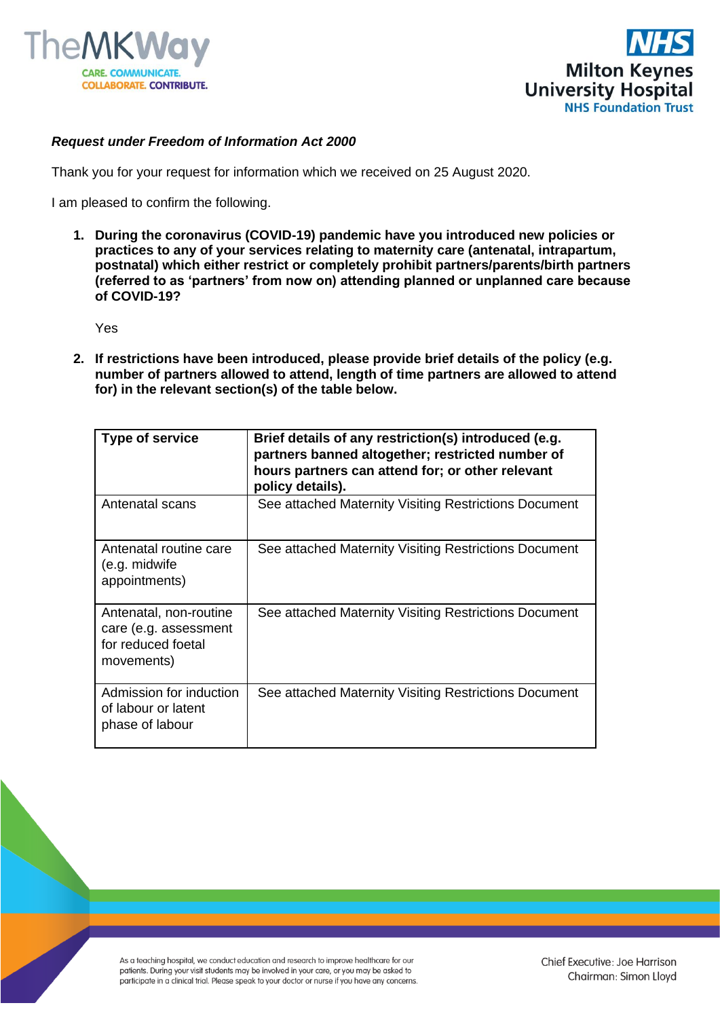



## *Request under Freedom of Information Act 2000*

Thank you for your request for information which we received on 25 August 2020.

I am pleased to confirm the following.

**1. During the coronavirus (COVID-19) pandemic have you introduced new policies or practices to any of your services relating to maternity care (antenatal, intrapartum, postnatal) which either restrict or completely prohibit partners/parents/birth partners (referred to as 'partners' from now on) attending planned or unplanned care because of COVID-19?** 

Yes

**2. If restrictions have been introduced, please provide brief details of the policy (e.g. number of partners allowed to attend, length of time partners are allowed to attend for) in the relevant section(s) of the table below.**

| Type of service                                                                     | Brief details of any restriction(s) introduced (e.g.<br>partners banned altogether; restricted number of<br>hours partners can attend for; or other relevant<br>policy details). |
|-------------------------------------------------------------------------------------|----------------------------------------------------------------------------------------------------------------------------------------------------------------------------------|
| Antenatal scans                                                                     | See attached Maternity Visiting Restrictions Document                                                                                                                            |
| Antenatal routine care<br>(e.g. midwife<br>appointments)                            | See attached Maternity Visiting Restrictions Document                                                                                                                            |
| Antenatal, non-routine<br>care (e.g. assessment<br>for reduced foetal<br>movements) | See attached Maternity Visiting Restrictions Document                                                                                                                            |
| Admission for induction<br>of labour or latent<br>phase of labour                   | See attached Maternity Visiting Restrictions Document                                                                                                                            |

As a teaching hospital, we conduct education and research to improve healthcare for our patients. During your visit students may be involved in your care, or you may be asked to participate in a clinical trial. Please speak to your doctor or nurse if you have any concerns.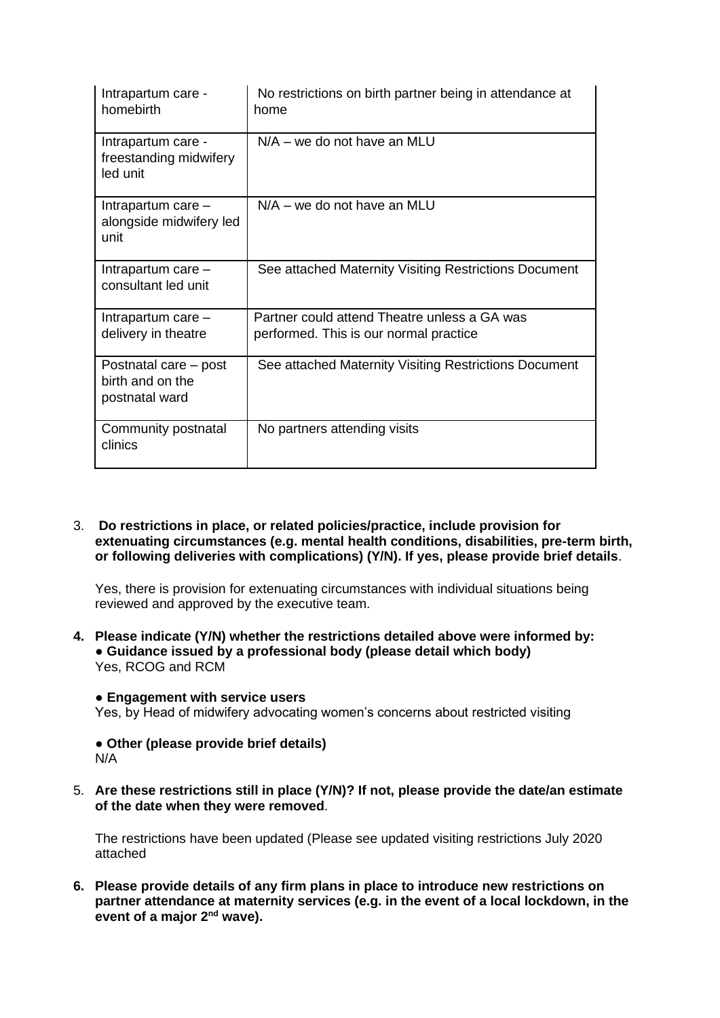| Intrapartum care -<br>homebirth                             | No restrictions on birth partner being in attendance at<br>home                        |
|-------------------------------------------------------------|----------------------------------------------------------------------------------------|
| Intrapartum care -<br>freestanding midwifery<br>led unit    | $N/A -$ we do not have an MLU                                                          |
| Intrapartum care -<br>alongside midwifery led<br>unit       | $N/A$ – we do not have an MLU                                                          |
| Intrapartum care -<br>consultant led unit                   | See attached Maternity Visiting Restrictions Document                                  |
| Intrapartum care -<br>delivery in theatre                   | Partner could attend Theatre unless a GA was<br>performed. This is our normal practice |
| Postnatal care – post<br>birth and on the<br>postnatal ward | See attached Maternity Visiting Restrictions Document                                  |
| Community postnatal<br>clinics                              | No partners attending visits                                                           |

3. **Do restrictions in place, or related policies/practice, include provision for extenuating circumstances (e.g. mental health conditions, disabilities, pre-term birth, or following deliveries with complications) (Y/N). If yes, please provide brief details**.

Yes, there is provision for extenuating circumstances with individual situations being reviewed and approved by the executive team.

- **4. Please indicate (Y/N) whether the restrictions detailed above were informed by: ● Guidance issued by a professional body (please detail which body)** Yes, RCOG and RCM
	- **● Engagement with service users**

Yes, by Head of midwifery advocating women's concerns about restricted visiting

- **● Other (please provide brief details)** N/A
- 5. **Are these restrictions still in place (Y/N)? If not, please provide the date/an estimate of the date when they were removed**.

The restrictions have been updated (Please see updated visiting restrictions July 2020 attached

**6. Please provide details of any firm plans in place to introduce new restrictions on partner attendance at maternity services (e.g. in the event of a local lockdown, in the event of a major 2nd wave).**